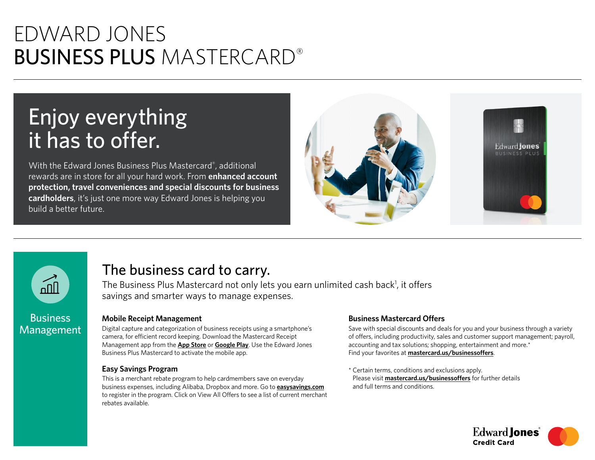# EDWARD JONES BUSINESS PLUS MASTERCARD®

# Enjoy everything it has to offer.

With the Edward Jones Business Plus Mastercard® , additional rewards are in store for all your hard work. From **enhanced account protection, travel conveniences and special discounts for business cardholders**, it's just one more way Edward Jones is helping you build a better future.





## The business card to carry.

The Business Plus Mastercard not only lets you earn unlimited cash back<sup>1</sup>, it offers savings and smarter ways to manage expenses.

### **Mobile Receipt Management**

Digital capture and categorization of business receipts using a smartphone's camera, for efficient record keeping. Download the Mastercard Receipt Management app from the **[App Store](https://apps.apple.com/)** or **[Google Play](https://play.google.com/)**. Use the Edward Jones Business Plus Mastercard to activate the mobile app.

### **Easy Savings Program**

This is a merchant rebate program to help cardmembers save on everyday business expenses, including Alibaba, Dropbox and more. Go to **[easysavings.com](https://www.easysavings.com/)** to register in the program. Click on View All Offers to see a list of current merchant rebates available.

### **Business Mastercard Offers**

Save with special discounts and deals for you and your business through a variety of offers, including productivity, sales and customer support management; payroll, accounting and tax solutions; shopping, entertainment and more.\* Find your favorites at **[mastercard.us/businessoffers](https://www.mastercard.us/businessoffers)**.

\* Certain terms, conditions and exclusions apply. Please visit **[mastercard.us/businessoffers](https://www.mastercard.us/businessoffers)** for further details and full terms and conditions.

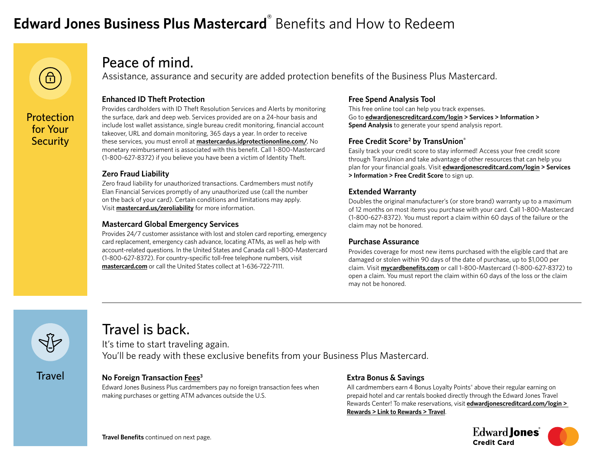# **Edward Jones Business Plus Mastercard**® Benefits and How to Redeem



**Protection** for Your **Security** 

### Peace of mind.

Assistance, assurance and security are added protection benefits of the Business Plus Mastercard.

### **Enhanced ID Theft Protection**

Provides cardholders with ID Theft Resolution Services and Alerts by monitoring the surface, dark and deep web. Services provided are on a 24-hour basis and include lost wallet assistance, single bureau credit monitoring, financial account takeover, URL and domain monitoring, 365 days a year. In order to receive these services, you must enroll at **[mastercardus.idprotectiononline.com/](https://mastercardus.idprotectiononline.com/)**. No monetary reimbursement is associated with this benefit. Call 1-800-Mastercard (1-800-627-8372) if you believe you have been a victim of Identity Theft.

### **Zero Fraud Liability**

Zero fraud liability for unauthorized transactions. Cardmembers must notify Elan Financial Services promptly of any unauthorized use (call the number on the back of your card). Certain conditions and limitations may apply. Visit **[mastercard.us/zeroliability](https://www.mastercard.us/zeroliability)** for more information.

### **Mastercard Global Emergency Services**

Provides 24/7 customer assistance with lost and stolen card reporting, emergency card replacement, emergency cash advance, locating ATMs, as well as help with account-related questions. In the United States and Canada call 1-800-Mastercard (1-800-627-8372). For country-specific toll-free telephone numbers, visit **[mastercard.com](https://www.mastercard.com/)** or call the United States collect at 1-636-722-7111.

### **Free Spend Analysis Tool**

This free online tool can help you track expenses. Go to **[edwardjonescreditcard.com/login](https://www.edwardjonescreditcard.com/login) > Services > Information > Spend Analysis** to generate your spend analysis report.

### **Free Credit Score2 by TransUnion®**

Easily track your credit score to stay informed! Access your free credit score through TransUnion and take advantage of other resources that can help you plan for your financial goals. Visit **[edwardjonescreditcard.com/login](https://www.edwardjonescreditcard.com/login) > Services > Information > Free Credit Score** to sign up.

### **Extended Warranty**

Doubles the original manufacturer's (or store brand) warranty up to a maximum of 12 months on most items you purchase with your card. Call 1-800-Mastercard (1-800-627-8372). You must report a claim within 60 days of the failure or the claim may not be honored.

### **Purchase Assurance**

Provides coverage for most new items purchased with the eligible card that are damaged or stolen within 90 days of the date of purchase, up to \$1,000 per claim. Visit **[mycardbenefits.com](https://www.mycardbenefits.com/)** or call 1-800-Mastercard (1-800-627-8372) to open a claim. You must report the claim within 60 days of the loss or the claim may not be honored.



### Travel is back.

It's time to start traveling again. You'll be ready with these exclusive benefits from your Business Plus Mastercard.

### **Travel**

### **No Foreign Transaction [Fees](https://apply.edwardjonescreditcard.com/oad/terms.controller?locationCode=9681&offerId=WWBHV77QDW)3**

Edward Jones Business Plus cardmembers pay no foreign transaction fees when making purchases or getting ATM advances outside the U.S.

### **Extra Bonus & Savings**

All cardmembers earn 4 Bonus Loyalty Points® above their regular earning on prepaid hotel and car rentals booked directly through the Edward Jones Travel Rewards Center! To make reservations, visit **[edwardjonescreditcard.com/login](https://www.edwardjonescreditcard.com/login) > Rewards > Link to Rewards > Travel**.

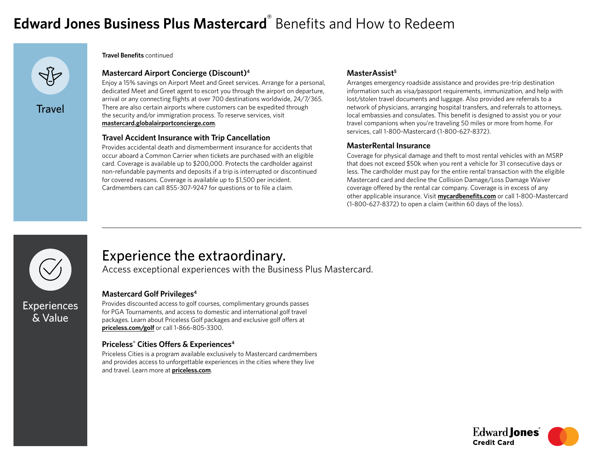# **Edward Jones Business Plus Mastercard**® Benefits and How to Redeem



**Travel Benefits** continued

### **Mastercard Airport Concierge (Discount)4**

Enjoy a 15% savings on Airport Meet and Greet services. Arrange for a personal, dedicated Meet and Greet agent to escort you through the airport on departure, arrival or any connecting flights at over 700 destinations worldwide, 24/7/365. There are also certain airports where customers can be expedited through the security and/or immigration process. To reserve services, visit **[mastercard.globalairportconcierge.com](https://mastercard.globalairportconcierge.com/)**.

#### **Travel Accident Insurance with Trip Cancellation**

Provides accidental death and dismemberment insurance for accidents that occur aboard a Common Carrier when tickets are purchased with an eligible card. Coverage is available up to \$200,000. Protects the cardholder against non-refundable payments and deposits if a trip is interrupted or discontinued for covered reasons. Coverage is available up to \$1,500 per incident. Cardmembers can call 855-307-9247 for questions or to file a claim.

### MasterAssist<sup>5</sup>

Arranges emergency roadside assistance and provides pre-trip destination information such as visa/passport requirements, immunization, and help with lost/stolen travel documents and luggage. Also provided are referrals to a network of physicians, arranging hospital transfers, and referrals to attorneys, local embassies and consulates. This benefit is designed to assist you or your travel companions when you're traveling 50 miles or more from home. For services, call 1-800-Mastercard (1-800-627-8372).

#### **MasterRental Insurance**

Coverage for physical damage and theft to most rental vehicles with an MSRP that does not exceed \$50k when you rent a vehicle for 31 consecutive days or less. The cardholder must pay for the entire rental transaction with the eligible Mastercard card and decline the Collision Damage/Loss Damage Waiver coverage offered by the rental car company. Coverage is in excess of any other applicable insurance. Visit **[mycardbenefits.com](https://www.mycardbenefits.com/)** or call 1-800-Mastercard (1-800-627-8372) to open a claim (within 60 days of the loss).



& Value

### Experience the extraordinary.

Access exceptional experiences with the Business Plus Mastercard.

### **Mastercard Golf Privileges4**

Provides discounted access to golf courses, complimentary grounds passes for PGA Tournaments, and access to domestic and international golf travel packages. Learn about Priceless Golf packages and exclusive golf offers at **[priceless.com/golf](https://www.priceless.com/golf)** or call 1-866-805-3300.

### **Priceless® Cities Offers & Experiences4**

Priceless Cities is a program available exclusively to Mastercard cardmembers and provides access to unforgettable experiences in the cities where they live and travel. Learn more at **[priceless.com](https://www.priceless.com/)**.